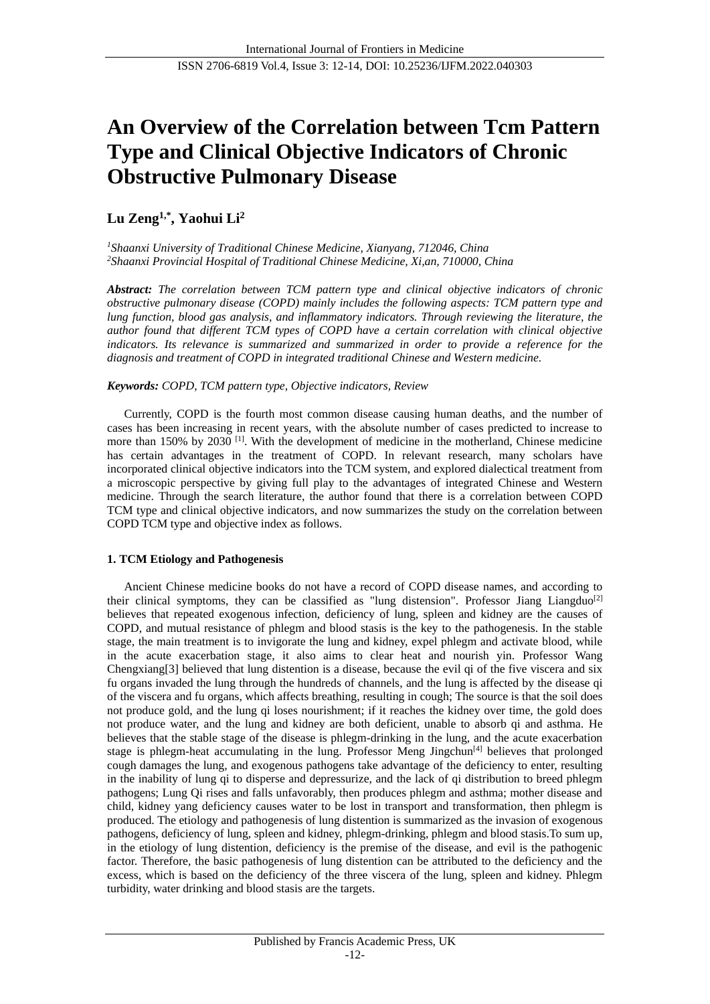# **An Overview of the Correlation between Tcm Pattern Type and Clinical Objective Indicators of Chronic Obstructive Pulmonary Disease**

## **Lu Zeng1,\* , Yaohui Li<sup>2</sup>**

*<sup>1</sup>Shaanxi University of Traditional Chinese Medicine, Xianyang, 712046, China <sup>2</sup>Shaanxi Provincial Hospital of Traditional Chinese Medicine, Xi,an, 710000, China*

*Abstract: The correlation between TCM pattern type and clinical objective indicators of chronic obstructive pulmonary disease (COPD) mainly includes the following aspects: TCM pattern type and lung function, blood gas analysis, and inflammatory indicators. Through reviewing the literature, the author found that different TCM types of COPD have a certain correlation with clinical objective indicators. Its relevance is summarized and summarized in order to provide a reference for the diagnosis and treatment of COPD in integrated traditional Chinese and Western medicine.*

## *Keywords: COPD, TCM pattern type, Objective indicators, Review*

Currently, COPD is the fourth most common disease causing human deaths, and the number of cases has been increasing in recent years, with the absolute number of cases predicted to increase to more than 150% by 2030  $^{[1]}$ . With the development of medicine in the motherland, Chinese medicine has certain advantages in the treatment of COPD. In relevant research, many scholars have incorporated clinical objective indicators into the TCM system, and explored dialectical treatment from a microscopic perspective by giving full play to the advantages of integrated Chinese and Western medicine. Through the search literature, the author found that there is a correlation between COPD TCM type and clinical objective indicators, and now summarizes the study on the correlation between COPD TCM type and objective index as follows.

## **1. TCM Etiology and Pathogenesis**

Ancient Chinese medicine books do not have a record of COPD disease names, and according to their clinical symptoms, they can be classified as "lung distension". Professor Jiang Liangduo<sup>[2]</sup> believes that repeated exogenous infection, deficiency of lung, spleen and kidney are the causes of COPD, and mutual resistance of phlegm and blood stasis is the key to the pathogenesis. In the stable stage, the main treatment is to invigorate the lung and kidney, expel phlegm and activate blood, while in the acute exacerbation stage, it also aims to clear heat and nourish yin. Professor Wang Chengxiang[3] believed that lung distention is a disease, because the evil qi of the five viscera and six fu organs invaded the lung through the hundreds of channels, and the lung is affected by the disease qi of the viscera and fu organs, which affects breathing, resulting in cough; The source is that the soil does not produce gold, and the lung qi loses nourishment; if it reaches the kidney over time, the gold does not produce water, and the lung and kidney are both deficient, unable to absorb qi and asthma. He believes that the stable stage of the disease is phlegm-drinking in the lung, and the acute exacerbation stage is phlegm-heat accumulating in the lung. Professor Meng Jingchun<sup>[4]</sup> believes that prolonged cough damages the lung, and exogenous pathogens take advantage of the deficiency to enter, resulting in the inability of lung qi to disperse and depressurize, and the lack of qi distribution to breed phlegm pathogens; Lung Qi rises and falls unfavorably, then produces phlegm and asthma; mother disease and child, kidney yang deficiency causes water to be lost in transport and transformation, then phlegm is produced. The etiology and pathogenesis of lung distention is summarized as the invasion of exogenous pathogens, deficiency of lung, spleen and kidney, phlegm-drinking, phlegm and blood stasis.To sum up, in the etiology of lung distention, deficiency is the premise of the disease, and evil is the pathogenic factor. Therefore, the basic pathogenesis of lung distention can be attributed to the deficiency and the excess, which is based on the deficiency of the three viscera of the lung, spleen and kidney. Phlegm turbidity, water drinking and blood stasis are the targets.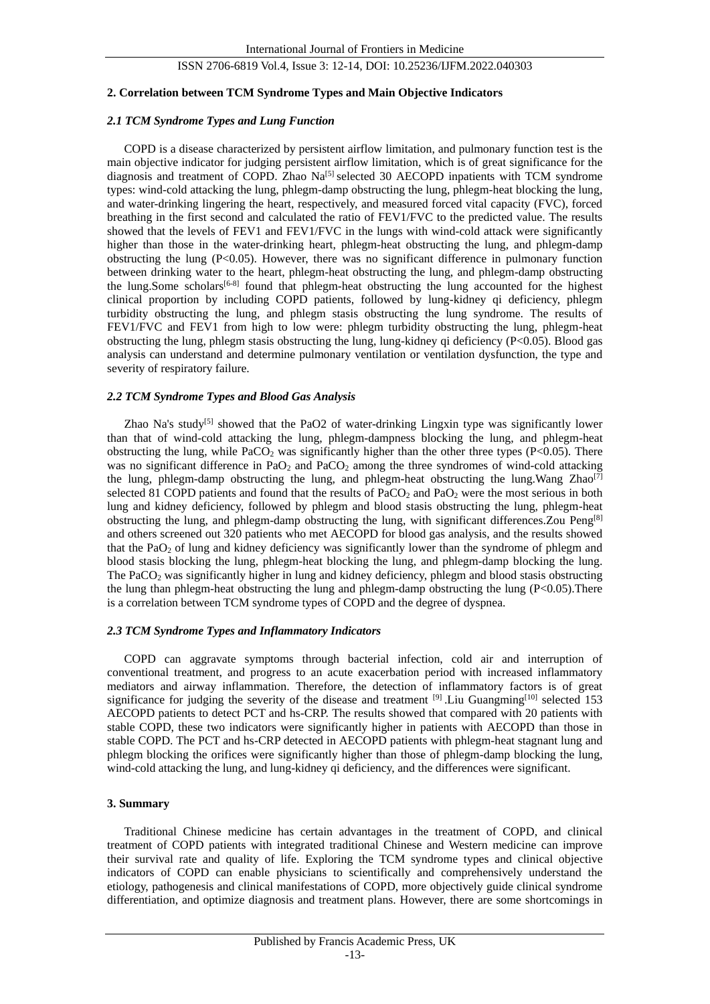## ISSN 2706-6819 Vol.4, Issue 3: 12-14, DOI: 10.25236/IJFM.2022.040303

#### **2. Correlation between TCM Syndrome Types and Main Objective Indicators**

#### *2.1 TCM Syndrome Types and Lung Function*

COPD is a disease characterized by persistent airflow limitation, and pulmonary function test is the main objective indicator for judging persistent airflow limitation, which is of great significance for the diagnosis and treatment of COPD. Zhao Na<sup>[5]</sup> selected 30 AECOPD inpatients with TCM syndrome types: wind-cold attacking the lung, phlegm-damp obstructing the lung, phlegm-heat blocking the lung, and water-drinking lingering the heart, respectively, and measured forced vital capacity (FVC), forced breathing in the first second and calculated the ratio of FEV1/FVC to the predicted value. The results showed that the levels of FEV1 and FEV1/FVC in the lungs with wind-cold attack were significantly higher than those in the water-drinking heart, phlegm-heat obstructing the lung, and phlegm-damp obstructing the lung (P<0.05). However, there was no significant difference in pulmonary function between drinking water to the heart, phlegm-heat obstructing the lung, and phlegm-damp obstructing the lung.Some scholars<sup>[6-8]</sup> found that phlegm-heat obstructing the lung accounted for the highest clinical proportion by including COPD patients, followed by lung-kidney qi deficiency, phlegm turbidity obstructing the lung, and phlegm stasis obstructing the lung syndrome. The results of FEV1/FVC and FEV1 from high to low were: phlegm turbidity obstructing the lung, phlegm-heat obstructing the lung, phlegm stasis obstructing the lung, lung-kidney qi deficiency (P<0.05). Blood gas analysis can understand and determine pulmonary ventilation or ventilation dysfunction, the type and severity of respiratory failure.

#### *2.2 TCM Syndrome Types and Blood Gas Analysis*

Zhao Na's study<sup>[5]</sup> showed that the PaO2 of water-drinking Lingxin type was significantly lower than that of wind-cold attacking the lung, phlegm-dampness blocking the lung, and phlegm-heat obstructing the lung, while PaCO<sub>2</sub> was significantly higher than the other three types  $(P<0.05)$ . There was no significant difference in PaO<sub>2</sub> and PaCO<sub>2</sub> among the three syndromes of wind-cold attacking the lung, phlegm-damp obstructing the lung, and phlegm-heat obstructing the lung.Wang  $Zhao^{[7]}$ selected 81 COPD patients and found that the results of PaCO<sub>2</sub> and PaO<sub>2</sub> were the most serious in both lung and kidney deficiency, followed by phlegm and blood stasis obstructing the lung, phlegm-heat obstructing the lung, and phlegm-damp obstructing the lung, with significant differences.Zou Peng[8] and others screened out 320 patients who met AECOPD for blood gas analysis, and the results showed that the PaO<sub>2</sub> of lung and kidney deficiency was significantly lower than the syndrome of phlegm and blood stasis blocking the lung, phlegm-heat blocking the lung, and phlegm-damp blocking the lung. The PaCO<sub>2</sub> was significantly higher in lung and kidney deficiency, phlegm and blood stasis obstructing the lung than phlegm-heat obstructing the lung and phlegm-damp obstructing the lung  $(P< 0.05)$ . There is a correlation between TCM syndrome types of COPD and the degree of dyspnea.

#### *2.3 TCM Syndrome Types and Inflammatory Indicators*

COPD can aggravate symptoms through bacterial infection, cold air and interruption of conventional treatment, and progress to an acute exacerbation period with increased inflammatory mediators and airway inflammation. Therefore, the detection of inflammatory factors is of great significance for judging the severity of the disease and treatment  $[9]$ . Liu Guangming $[10]$  selected 153 AECOPD patients to detect PCT and hs-CRP. The results showed that compared with 20 patients with stable COPD, these two indicators were significantly higher in patients with AECOPD than those in stable COPD. The PCT and hs-CRP detected in AECOPD patients with phlegm-heat stagnant lung and phlegm blocking the orifices were significantly higher than those of phlegm-damp blocking the lung, wind-cold attacking the lung, and lung-kidney qi deficiency, and the differences were significant.

#### **3. Summary**

Traditional Chinese medicine has certain advantages in the treatment of COPD, and clinical treatment of COPD patients with integrated traditional Chinese and Western medicine can improve their survival rate and quality of life. Exploring the TCM syndrome types and clinical objective indicators of COPD can enable physicians to scientifically and comprehensively understand the etiology, pathogenesis and clinical manifestations of COPD, more objectively guide clinical syndrome differentiation, and optimize diagnosis and treatment plans. However, there are some shortcomings in